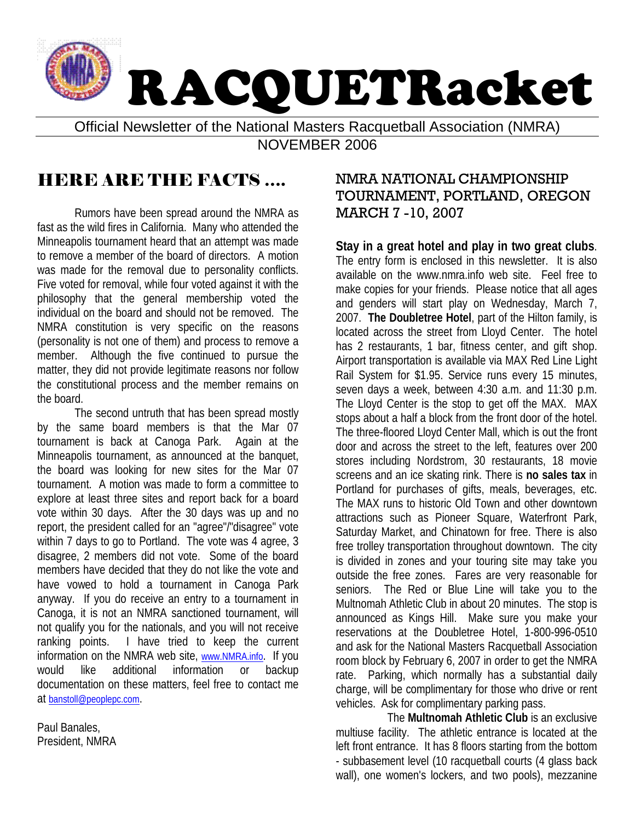

Official Newsletter of the National Masters Racquetball Association (NMRA)

NOVEMBER 2006

# HERE ARE THE FACTS ….

Rumors have been spread around the NMRA as fast as the wild fires in California. Many who attended the Minneapolis tournament heard that an attempt was made to remove a member of the board of directors. A motion was made for the removal due to personality conflicts. Five voted for removal, while four voted against it with the philosophy that the general membership voted the individual on the board and should not be removed. The NMRA constitution is very specific on the reasons (personality is not one of them) and process to remove a member. Although the five continued to pursue the matter, they did not provide legitimate reasons nor follow the constitutional process and the member remains on the board.

The second untruth that has been spread mostly by the same board members is that the Mar 07 tournament is back at Canoga Park. Again at the Minneapolis tournament, as announced at the banquet, the board was looking for new sites for the Mar 07 tournament. A motion was made to form a committee to explore at least three sites and report back for a board vote within 30 days. After the 30 days was up and no report, the president called for an "agree"/"disagree" vote within 7 days to go to Portland. The vote was 4 agree, 3 disagree, 2 members did not vote. Some of the board members have decided that they do not like the vote and have vowed to hold a tournament in Canoga Park anyway. If you do receive an entry to a tournament in Canoga, it is not an NMRA sanctioned tournament, will not qualify you for the nationals, and you will not receive ranking points. I have tried to keep the current information on the NMRA web site, [www.NMRA.info.](http://www.nmra.info/) If you would like additional information or backup documentation on these matters, feel free to contact me at [banstoll@peoplepc.com.](mailto:banstoll@peoplepc.com)

Paul Banales, President, NMRA

# NMRA NATIONAL CHAMPIONSHIP TOURNAMENT, PORTLAND, OREGON MARCH 7 -10, 2007

**Stay in a great hotel and play in two great clubs**. The entry form is enclosed in this newsletter. It is also available on the www.nmra.info web site. Feel free to make copies for your friends. Please notice that all ages and genders will start play on Wednesday, March 7, 2007. **The Doubletree Hotel**, part of the Hilton family, is located across the street from Lloyd Center. The hotel has 2 restaurants, 1 bar, fitness center, and gift shop. Airport transportation is available via MAX Red Line Light Rail System for \$1.95. Service runs every 15 minutes, seven days a week, between 4:30 a.m. and 11:30 p.m. The Lloyd Center is the stop to get off the MAX. MAX stops about a half a block from the front door of the hotel. The three-floored Lloyd Center Mall, which is out the front door and across the street to the left, features over 200 stores including Nordstrom, 30 restaurants, 18 movie screens and an ice skating rink. There is **no sales tax** in Portland for purchases of gifts, meals, beverages, etc. The MAX runs to historic Old Town and other downtown attractions such as Pioneer Square, Waterfront Park, Saturday Market, and Chinatown for free. There is also free trolley transportation throughout downtown. The city is divided in zones and your touring site may take you outside the free zones. Fares are very reasonable for seniors. The Red or Blue Line will take you to the Multnomah Athletic Club in about 20 minutes. The stop is announced as Kings Hill. Make sure you make your reservations at the Doubletree Hotel, 1-800-996-0510 and ask for the National Masters Racquetball Association room block by February 6, 2007 in order to get the NMRA rate. Parking, which normally has a substantial daily charge, will be complimentary for those who drive or rent vehicles. Ask for complimentary parking pass.

The **Multnomah Athletic Club** is an exclusive multiuse facility. The athletic entrance is located at the left front entrance. It has 8 floors starting from the bottom - subbasement level (10 racquetball courts (4 glass back wall), one women's lockers, and two pools), mezzanine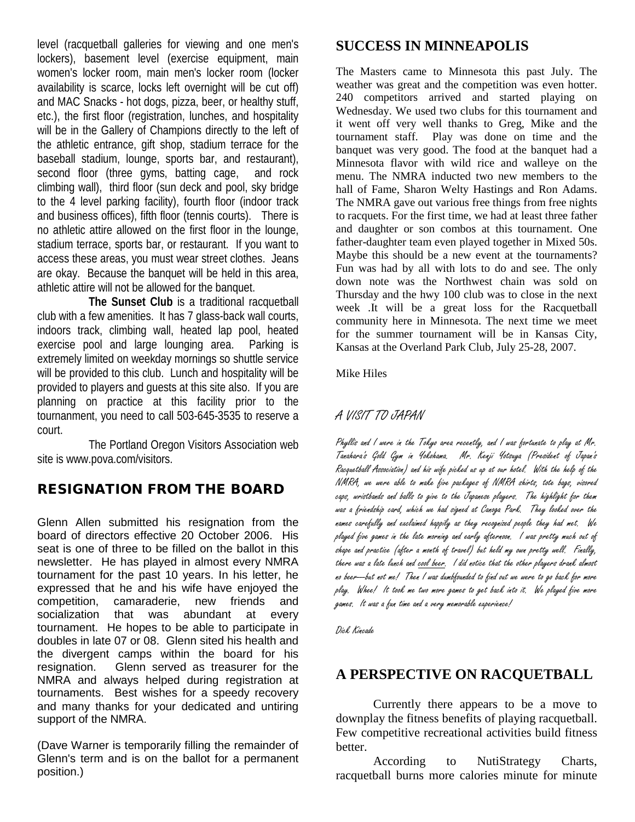level (racquetball galleries for viewing and one men's lockers), basement level (exercise equipment, main women's locker room, main men's locker room (locker availability is scarce, locks left overnight will be cut off) and MAC Snacks - hot dogs, pizza, beer, or healthy stuff, etc.), the first floor (registration, lunches, and hospitality will be in the Gallery of Champions directly to the left of the athletic entrance, gift shop, stadium terrace for the baseball stadium, lounge, sports bar, and restaurant), second floor (three gyms, batting cage, and rock climbing wall), third floor (sun deck and pool, sky bridge to the 4 level parking facility), fourth floor (indoor track and business offices), fifth floor (tennis courts). There is no athletic attire allowed on the first floor in the lounge, stadium terrace, sports bar, or restaurant. If you want to access these areas, you must wear street clothes. Jeans are okay. Because the banquet will be held in this area, athletic attire will not be allowed for the banquet.

**The Sunset Club** is a traditional racquetball club with a few amenities. It has 7 glass-back wall courts, indoors track, climbing wall, heated lap pool, heated exercise pool and large lounging area. Parking is extremely limited on weekday mornings so shuttle service will be provided to this club. Lunch and hospitality will be provided to players and guests at this site also. If you are planning on practice at this facility prior to the tournanment, you need to call 503-645-3535 to reserve a court.

The Portland Oregon Visitors Association web site is www.pova.com/visitors.

# RESIGNATION FROM THE BOARD

Glenn Allen submitted his resignation from the board of directors effective 20 October 2006. His seat is one of three to be filled on the ballot in this newsletter. He has played in almost every NMRA tournament for the past 10 years. In his letter, he expressed that he and his wife have enjoyed the competition, camaraderie, new friends and socialization that was abundant at every tournament. He hopes to be able to participate in doubles in late 07 or 08. Glenn sited his health and the divergent camps within the board for his resignation. Glenn served as treasurer for the NMRA and always helped during registration at tournaments. Best wishes for a speedy recovery and many thanks for your dedicated and untiring support of the NMRA.

(Dave Warner is temporarily filling the remainder of Glenn's term and is on the ballot for a permanent position.)

## **SUCCESS IN MINNEAPOLIS**

The Masters came to Minnesota this past July. The weather was great and the competition was even hotter. 240 competitors arrived and started playing on Wednesday. We used two clubs for this tournament and it went off very well thanks to Greg, Mike and the tournament staff. Play was done on time and the banquet was very good. The food at the banquet had a Minnesota flavor with wild rice and walleye on the menu. The NMRA inducted two new members to the hall of Fame, Sharon Welty Hastings and Ron Adams. The NMRA gave out various free things from free nights to racquets. For the first time, we had at least three father and daughter or son combos at this tournament. One father-daughter team even played together in Mixed 50s. Maybe this should be a new event at the tournaments? Fun was had by all with lots to do and see. The only down note was the Northwest chain was sold on Thursday and the hwy 100 club was to close in the next week .It will be a great loss for the Racquetball community here in Minnesota. The next time we meet for the summer tournament will be in Kansas City, Kansas at the Overland Park Club, July 25-28, 2007.

#### Mike Hiles

## A VISIT TO JAPAN

Phyllis and I were in the Tokyo area recently, and I was fortunate to play at Mr. Tanahara's Gold Gym in Yokohama. Mr. Kenji Yotsuya (President of Japan's Racquetball Association) and his wife picked us up at our hotel. With the help of the NMRA, we were able to make five packages of NMRA shirts, tote bags, visored caps, wristbands and balls to give to the Japanese players. The highlight for them was a friendship card, which we had signed at Canoga Park. They looked over the names carefully and exclaimed happily as they recognized people they had met. We played five games in the late morning and early afternoon. I was pretty much out of shape and practice (after a month of travel) but held my own pretty well. Finally, there was a late lunch and <u>cool beer.</u> I did notice that the other players drank almost no beer---but not me! Then I was dumbfounded to find out we were to go back for more play. Whee! It took me two more games to get back into it. We played five more games. It was a fun time and a very memorable experience!

Dick Kincade

# **A PERSPECTIVE ON RACQUETBALL**

Currently there appears to be a move to downplay the fitness benefits of playing racquetball. Few competitive recreational activities build fitness better.

According to NutiStrategy Charts, racquetball burns more calories minute for minute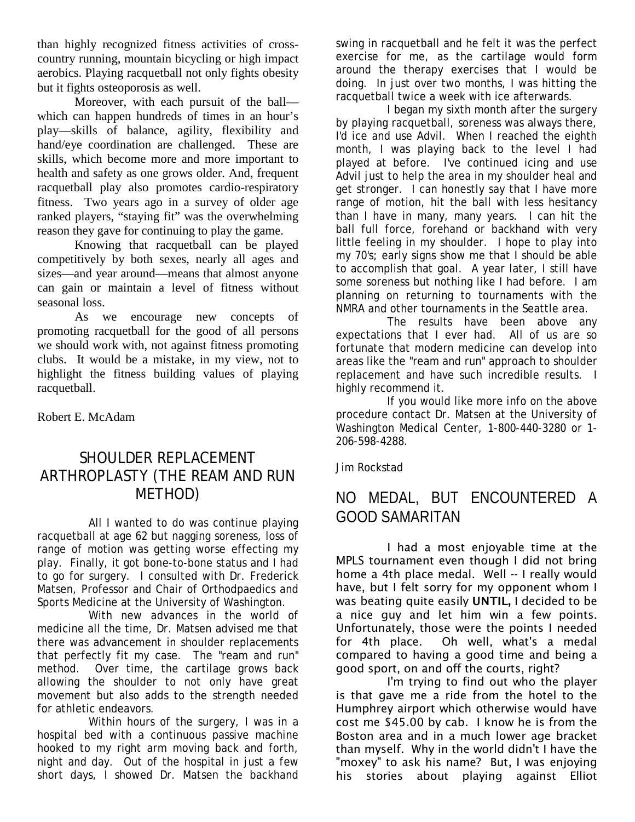than highly recognized fitness activities of crosscountry running, mountain bicycling or high impact aerobics. Playing racquetball not only fights obesity but it fights osteoporosis as well.

Moreover, with each pursuit of the ball which can happen hundreds of times in an hour's play—skills of balance, agility, flexibility and hand/eye coordination are challenged. These are skills, which become more and more important to health and safety as one grows older. And, frequent racquetball play also promotes cardio-respiratory fitness. Two years ago in a survey of older age ranked players, "staying fit" was the overwhelming reason they gave for continuing to play the game.

Knowing that racquetball can be played competitively by both sexes, nearly all ages and sizes—and year around—means that almost anyone can gain or maintain a level of fitness without seasonal loss.

As we encourage new concepts of promoting racquetball for the good of all persons we should work with, not against fitness promoting clubs. It would be a mistake, in my view, not to highlight the fitness building values of playing racquetball.

Robert E. McAdam

# SHOULDER REPLACEMENT ARTHROPLASTY (THE REAM AND RUN METHOD)

All I wanted to do was continue playing racquetball at age 62 but nagging soreness, loss of range of motion was getting worse effecting my play. Finally, it got bone-to-bone status and I had to go for surgery. I consulted with Dr. Frederick Matsen, Professor and Chair of Orthodpaedics and Sports Medicine at the University of Washington.

With new advances in the world of medicine all the time, Dr. Matsen advised me that there was advancement in shoulder replacements that perfectly fit my case. The "ream and run" method. Over time, the cartilage grows back allowing the shoulder to not only have great movement but also adds to the strength needed for athletic endeavors.

Within hours of the surgery, I was in a hospital bed with a continuous passive machine hooked to my right arm moving back and forth, night and day. Out of the hospital in just a few short days, I showed Dr. Matsen the backhand swing in racquetball and he felt it was the perfect exercise for me, as the cartilage would form around the therapy exercises that I would be doing. In just over two months, I was hitting the racquetball twice a week with ice afterwards.

I began my sixth month after the surgery by playing racquetball, soreness was always there, I'd ice and use Advil. When I reached the eighth month, I was playing back to the level I had played at before. I've continued icing and use Advil just to help the area in my shoulder heal and get stronger. I can honestly say that I have more range of motion, hit the ball with less hesitancy than I have in many, many years. I can hit the ball full force, forehand or backhand with very little feeling in my shoulder. I hope to play into my 70's; early signs show me that I should be able to accomplish that goal. A year later, I still have some soreness but nothing like I had before. I am planning on returning to tournaments with the NMRA and other tournaments in the Seattle area.

The results have been above any expectations that I ever had. All of us are so fortunate that modern medicine can develop into areas like the "ream and run" approach to shoulder replacement and have such incredible results. I highly recommend it.

If you would like more info on the above procedure contact Dr. Matsen at the University of Washington Medical Center, 1-800-440-3280 or 1- 206-598-4288.

Jim Rockstad

# NO MEDAL, BUT ENCOUNTERED A GOOD SAMARITAN

I had a most enjoyable time at the MPLS tournament even though I did not bring home a 4th place medal. Well -- I really would have, but I felt sorry for my opponent whom I was beating quite easily UNTIL, I decided to be a nice guy and let him win a few points. Unfortunately, those were the points I needed for 4th place. Oh well, what's a medal compared to having a good time and being a good sport, on and off the courts, right?

I'm trying to find out who the player is that gave me a ride from the hotel to the Humphrey airport which otherwise would have cost me \$45.00 by cab. I know he is from the Boston area and in a much lower age bracket than myself. Why in the world didn't I have the "moxey" to ask his name? But, I was enjoying his stories about playing against Elliot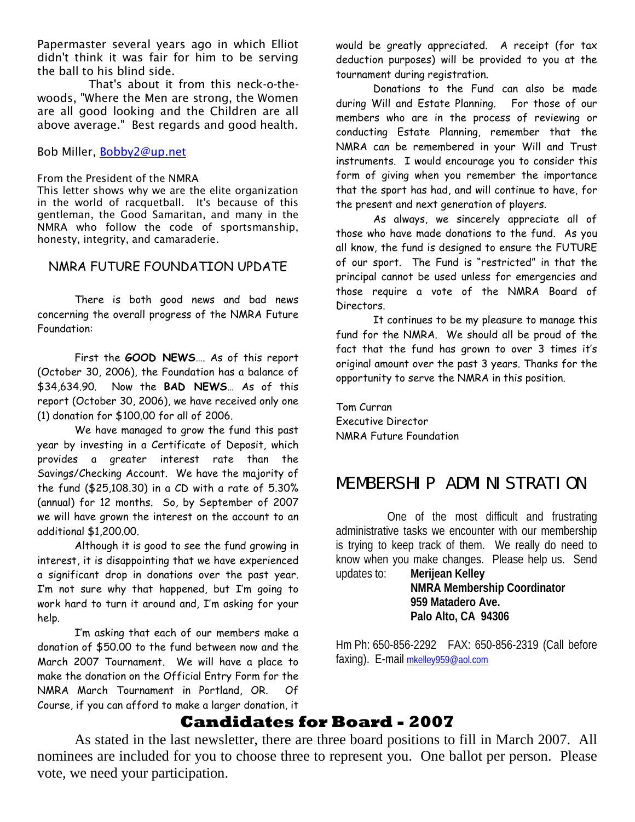Papermaster several years ago in which Elliot didn't think it was fair for him to be serving the ball to his blind side.

That's about it from this neck-o-thewoods, "Where the Men are strong, the Women are all good looking and the Children are all above average." Best regards and good health.

#### Bob Miller, [Bobby2@up.net](mailto:Bobby2@up.net)

From the President of the NMRA

This letter shows why we are the elite organization in the world of racquetball. It's because of this gentleman, the Good Samaritan, and many in the NMRA who follow the code of sportsmanship, honesty, integrity, and camaraderie.

#### NMRA FUTURE FOUNDATION UPDATE

There is both good news and bad news concerning the overall progress of the NMRA Future Foundation:

First the **GOOD NEWS**…. As of this report (October 30, 2006), the Foundation has a balance of \$34,634.90. Now the **BAD NEWS**… As of this report (October 30, 2006), we have received only one (1) donation for \$100.00 for all of 2006.

We have managed to grow the fund this past year by investing in a Certificate of Deposit, which provides a greater interest rate than the Savings/Checking Account. We have the majority of the fund (\$25,108.30) in a CD with a rate of 5.30% (annual) for 12 months. So, by September of 2007 we will have grown the interest on the account to an additional \$1,200.00.

Although it is good to see the fund growing in interest, it is disappointing that we have experienced a significant drop in donations over the past year. I'm not sure why that happened, but I'm going to work hard to turn it around and, I'm asking for your help.

I'm asking that each of our members make a donation of \$50.00 to the fund between now and the March 2007 Tournament. We will have a place to make the donation on the Official Entry Form for the NMRA March Tournament in Portland, OR. Of Course, if you can afford to make a larger donation, it

would be greatly appreciated. A receipt (for tax deduction purposes) will be provided to you at the tournament during registration.

Donations to the Fund can also be made during Will and Estate Planning. For those of our members who are in the process of reviewing or conducting Estate Planning, remember that the NMRA can be remembered in your Will and Trust instruments. I would encourage you to consider this form of giving when you remember the importance that the sport has had, and will continue to have, for the present and next generation of players.

As always, we sincerely appreciate all of those who have made donations to the fund. As you all know, the fund is designed to ensure the FUTURE of our sport. The Fund is "restricted" in that the principal cannot be used unless for emergencies and those require a vote of the NMRA Board of Directors.

It continues to be my pleasure to manage this fund for the NMRA. We should all be proud of the fact that the fund has grown to over 3 times it's original amount over the past 3 years. Thanks for the opportunity to serve the NMRA in this position.

Tom Curran Executive Director NMRA Future Foundation

# MEMBERSHIP ADMINISTRATION

One of the most difficult and frustrating administrative tasks we encounter with our membership is trying to keep track of them. We really do need to know when you make changes. Please help us. Send updates to: **Merijean Kelley**

**NMRA Membership Coordinator 959 Matadero Ave. Palo Alto, CA 94306**

Hm Ph: 650-856-2292 FAX: 650-856-2319 (Call before faxing). E-mail [mkelley959@aol.com](mailto:mkelley959@aol.com)

# **Candidates for Board - 2007**

As stated in the last newsletter, there are three board positions to fill in March 2007. All nominees are included for you to choose three to represent you. One ballot per person. Please vote, we need your participation.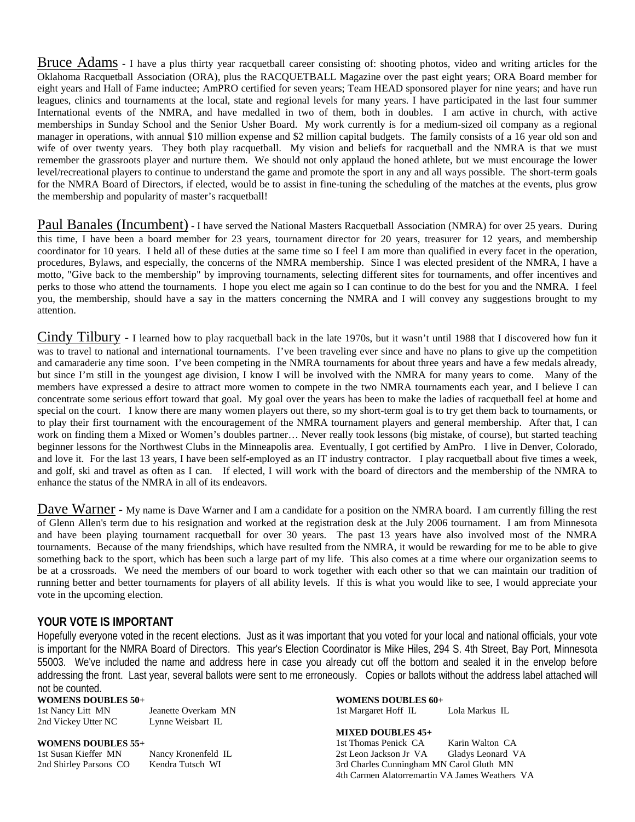Bruce Adams - I have a plus thirty year racquetball career consisting of: shooting photos, video and writing articles for the Oklahoma Racquetball Association (ORA), plus the RACQUETBALL Magazine over the past eight years; ORA Board member for eight years and Hall of Fame inductee; AmPRO certified for seven years; Team HEAD sponsored player for nine years; and have run leagues, clinics and tournaments at the local, state and regional levels for many years. I have participated in the last four summer International events of the NMRA, and have medalled in two of them, both in doubles. I am active in church, with active memberships in Sunday School and the Senior Usher Board. My work currently is for a medium-sized oil company as a regional manager in operations, with annual \$10 million expense and \$2 million capital budgets. The family consists of a 16 year old son and wife of over twenty years. They both play racquetball. My vision and beliefs for racquetball and the NMRA is that we must remember the grassroots player and nurture them. We should not only applaud the honed athlete, but we must encourage the lower level/recreational players to continue to understand the game and promote the sport in any and all ways possible. The short-term goals for the NMRA Board of Directors, if elected, would be to assist in fine-tuning the scheduling of the matches at the events, plus grow the membership and popularity of master's racquetball!

Paul Banales (Incumbent) - I have served the National Masters Racquetball Association (NMRA) for over 25 years. During this time, I have been a board member for 23 years, tournament director for 20 years, treasurer for 12 years, and membership coordinator for 10 years. I held all of these duties at the same time so I feel I am more than qualified in every facet in the operation, procedures, Bylaws, and especially, the concerns of the NMRA membership. Since I was elected president of the NMRA, I have a motto, "Give back to the membership" by improving tournaments, selecting different sites for tournaments, and offer incentives and perks to those who attend the tournaments. I hope you elect me again so I can continue to do the best for you and the NMRA. I feel you, the membership, should have a say in the matters concerning the NMRA and I will convey any suggestions brought to my attention.

Cindy Tilbury - I learned how to play racquetball back in the late 1970s, but it wasn't until 1988 that I discovered how fun it was to travel to national and international tournaments. I've been traveling ever since and have no plans to give up the competition and camaraderie any time soon. I've been competing in the NMRA tournaments for about three years and have a few medals already, but since I'm still in the youngest age division, I know I will be involved with the NMRA for many years to come. Many of the members have expressed a desire to attract more women to compete in the two NMRA tournaments each year, and I believe I can concentrate some serious effort toward that goal. My goal over the years has been to make the ladies of racquetball feel at home and special on the court. I know there are many women players out there, so my short-term goal is to try get them back to tournaments, or to play their first tournament with the encouragement of the NMRA tournament players and general membership. After that, I can work on finding them a Mixed or Women's doubles partner… Never really took lessons (big mistake, of course), but started teaching beginner lessons for the Northwest Clubs in the Minneapolis area. Eventually, I got certified by AmPro. I live in Denver, Colorado, and love it. For the last 13 years, I have been self-employed as an IT industry contractor. I play racquetball about five times a week, and golf, ski and travel as often as I can. If elected, I will work with the board of directors and the membership of the NMRA to enhance the status of the NMRA in all of its endeavors.

Dave Warner - My name is Dave Warner and I am a candidate for a position on the NMRA board. I am currently filling the rest of Glenn Allen's term due to his resignation and worked at the registration desk at the July 2006 tournament. I am from Minnesota and have been playing tournament racquetball for over 30 years. The past 13 years have also involved most of the NMRA tournaments. Because of the many friendships, which have resulted from the NMRA, it would be rewarding for me to be able to give something back to the sport, which has been such a large part of my life. This also comes at a time where our organization seems to be at a crossroads. We need the members of our board to work together with each other so that we can maintain our tradition of running better and better tournaments for players of all ability levels. If this is what you would like to see, I would appreciate your vote in the upcoming election.

#### **YOUR VOTE IS IMPORTANT**

Hopefully everyone voted in the recent elections. Just as it was important that you voted for your local and national officials, your vote is important for the NMRA Board of Directors. This year's Election Coordinator is Mike Hiles, 294 S. 4th Street, Bay Port, Minnesota 55003. We've included the name and address here in case you already cut off the bottom and sealed it in the envelop before addressing the front. Last year, several ballots were sent to me erroneously. Copies or ballots without the address label attached will not be counted.

**WOMENS DOUBLES 50+**

1st Nancy Litt MN Jeanette Overkam MN<br>2nd Vickey Utter NC Lynne Weisbart IL 2nd Vickey Utter NC

**WOMENS DOUBLES 55+**

1st Susan Kieffer MN Nancy Kronenfeld IL<br>2nd Shirley Parsons CO Kendra Tutsch WI 2nd Shirley Parsons CO

**WOMENS DOUBLES 60+**

1st Margaret Hoff IL Lola Markus IL

**MIXED DOUBLES 45+**

1st Thomas Penick CA Karin Walton CA 2st Leon Jackson Jr VA Gladys Leonard VA 3rd Charles Cunningham MN Carol Gluth MN 4th Carmen Alatorremartin VA James Weathers VA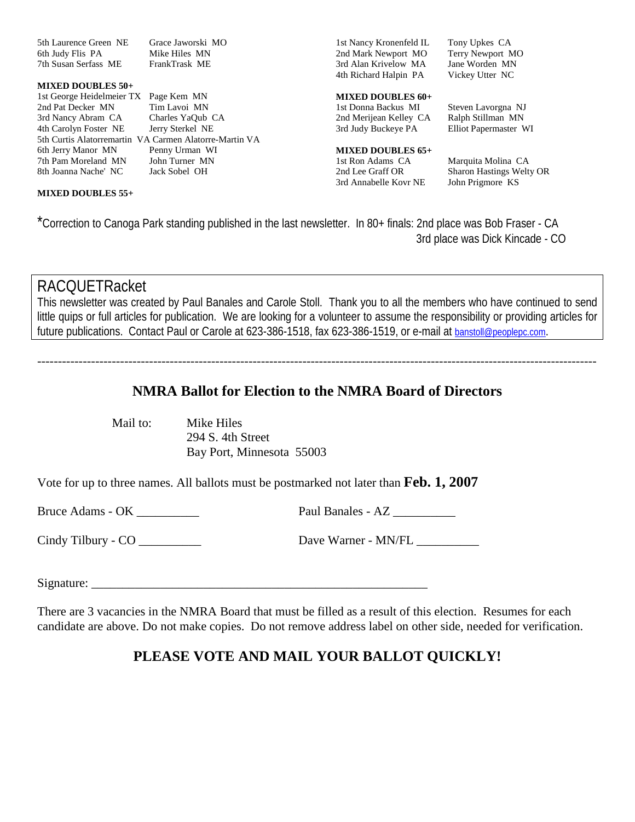5th Laurence Green NE Grace Jaworski MO<br>6th Judy Flis PA Mike Hiles MN 6th Judy Flis PA Mike Hiles MN<br>
7th Susan Serfass ME FrankTrask ME 7th Susan Serfass ME

#### **MIXED DOUBLES 50+**

1st George Heidelmeier TX Page Kem MN 2nd Pat Decker MN Tim Lavoi MN 3rd Nancy Abram CA Charles YaQub CA 4th Carolyn Foster NE Jerry Sterkel NE 5th Curtis Alatorremartin VA Carmen Alatorre-Martin VA 6th Jerry Manor MN Penny Urman WI 7th Pam Moreland MN John Turner MN 8th Joanna Nache' NC Jack Sobel OH

#### **MIXED DOUBLES 55+**

1st Nancy Kronenfeld IL Tony Upkes CA 2nd Mark Newport MO<br>
3rd Alan Krivelow MA<br>
Jane Worden MN 3rd Alan Krivelow MA Jane Worden MN<br>4th Richard Halpin PA Vickey Utter NC 4th Richard Halpin PA

# **MIXED DOUBLES 60+**

2nd Merijean Kelley CA Ralph Stillman MN 3rd Judy Buckeye PA Elliot Papermaster WI

#### **MIXED DOUBLES 65+**

1st Ron Adams CA Marquita Molina CA 3rd Annabelle Kovr NE

Steven Lavorgna NJ

2nd Lee Graff OR Sharon Hastings Welty OR<br>3rd Annabelle Kovr NE John Prigmore KS

\*Correction to Canoga Park standing published in the last newsletter. In 80+ finals: 2nd place was Bob Fraser - CA 3rd place was Dick Kincade - CO

# RACQUETRacket

This newsletter was created by Paul Banales and Carole Stoll. Thank you to all the members who have continued to send little quips or full articles for publication. We are looking for a volunteer to assume the responsibility or providing articles for future publications. Contact Paul or Carole at 623-386-1518, fax 623-386-1519, or e-mail at [banstoll@peoplepc.com.](mailto:banstoll@peoplepc.com)

---------------------------------------------------------------------------------------------------------------------------------------

## **NMRA Ballot for Election to the NMRA Board of Directors**

Mail to: Mike Hiles 294 S. 4th Street Bay Port, Minnesota 55003

Vote for up to three names. All ballots must be postmarked not later than **Feb. 1, 2007**

Bruce Adams - OK \_\_\_\_\_\_\_\_\_\_ Paul Banales - AZ \_\_\_\_\_\_\_\_\_\_

Cindy Tilbury - CO \_\_\_\_\_\_\_\_\_\_ Dave Warner - MN/FL \_\_\_\_\_\_\_\_\_\_

Signature:

There are 3 vacancies in the NMRA Board that must be filled as a result of this election. Resumes for each candidate are above. Do not make copies. Do not remove address label on other side, needed for verification.

# **PLEASE VOTE AND MAIL YOUR BALLOT QUICKLY!**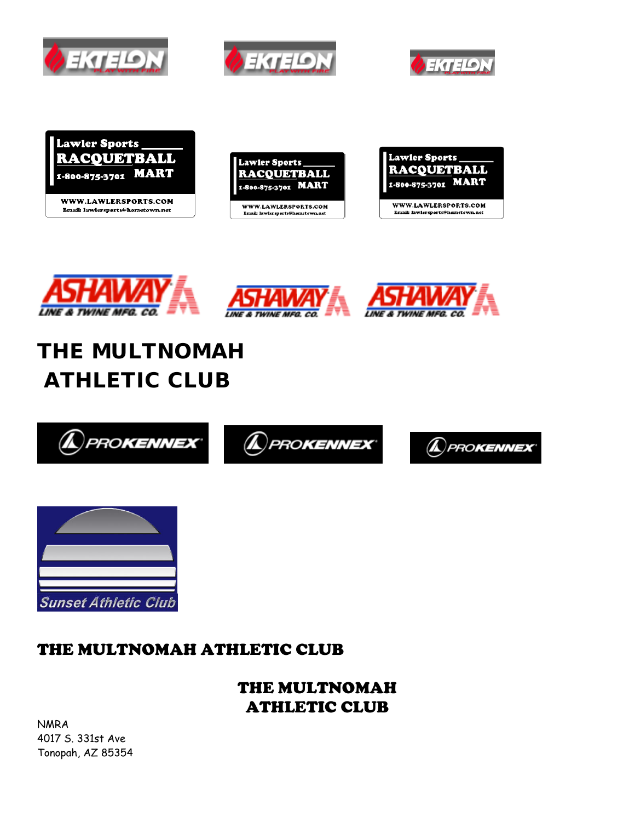







Email: lawlersports@hometown.net











# THE MULTNOMAH ATHLETIC CLUB





# THE MULTNOMAH ATHLETIC CLUB

THE MULTNOMAH ATHLETIC CLUB

NMRA 4017 S. 331st Ave Tonopah, AZ 85354